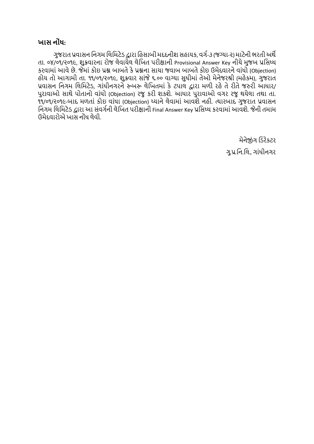### **ખાસ ન ોંધ**:

ગુજરાત પ્રવાસન નિગમ લિમિટેડ દ્વારા હિસાબી મદદનીશ સહાયક, વર્ગ-૩ (જગ્યા-૨) માટેની ભરતી અર્થે તા. ૦૪/૦૧/૨૦૧૯, શુક્રવારના રોજ લેવાયેલ લેખિત પરીક્ષાની Provisional Answer Key નીચે મુજબ પ્રસિધ્ધ કરવામાાંઆવેછે. જેમાાં કોઇ પ્રશ્ન બાબતેકેપ્રશ્નના સાચા જવાબ બાબતેકોઇ ઉમેદવારનેવાાંધો (Objection) િોય તો આગામી તા. ૧૧/૦૧/૨૦૧૯, શુક્રવાર સાાંજે૬.૦૦ વાગ્યા સુધીમાાં તેઓ મેનેજરશ્રી (મિેકમ), ગુજરાત પ્રવાસન નિગમ લિમિટેડ, ગાંધીનગરને રુબરુ લેખિતમાં કે ટપાલ દ્વારા મળી રહે તે રીતે જરુરી આધાર/ પુરાવાઓ સાથે પોતાનો વાંધો (Objection) રજુ કરી શકશે. આધાર પુરાવાઓ વગર રજુ થયેલા તથા તા. ૧૧/૦૧/૨૦૧૯-બાદ મળતાં કોઇ વાંધા (Objection) ધ્યાને લેવામાં આવશે નહી. ત્યારબાદ ગુજરાત પ્રવાસન નિગમ લિમિટેડ દ્વારા આ સંવર્ગની લેખિત પરીક્ષાની Final Answer Key પ્રસિધ્ધ કરવામાં આવશે. જેની તમામ ઉમેદવારોએ િાસ નોાંધ િેવી.

> મેનેજાંગ નડરેકટર ગુ.પ્ર.નન.નિ., ગાાંધીનગર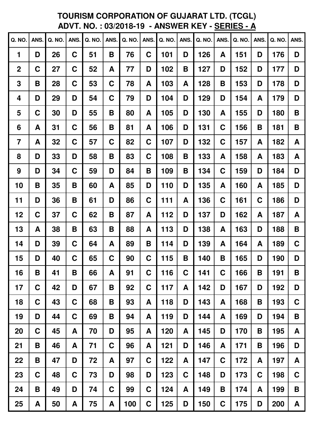# **TOURISM CORPORATION OF GUJARAT LTD. (TCGL)<br>ADVT. NO.: 03/2018-19 - ANSWER KEY - SERIES - A**

| Q. NO.           | ANS.        | Q. NO. | ANS.        | Q. NO. | ANS. | Q. NO. | ANS.        | Q. NO. | ANS. | Q. NO. | ANS.        | Q. NO. | ANS. | Q. NO. | ANS.        |
|------------------|-------------|--------|-------------|--------|------|--------|-------------|--------|------|--------|-------------|--------|------|--------|-------------|
| 1                | D           | 26     | C           | 51     | B    | 76     | C           | 101    | D    | 126    | A           | 151    | D    | 176    | D           |
| $\boldsymbol{2}$ | C           | 27     | C           | 52     | A    | 77     | D           | 102    | B    | 127    | D           | 152    | D    | 177    | D           |
| 3                | B           | 28     | C           | 53     | C    | 78     | A           | 103    | A    | 128    | B           | 153    | D    | 178    | D           |
| 4                | D           | 29     | D           | 54     | C    | 79     | D           | 104    | D    | 129    | D           | 154    | A    | 179    | D           |
| 5                | C           | 30     | D           | 55     | Β    | 80     | A           | 105    | D    | 130    | A           | 155    | D    | 180    | B           |
| 6                | A           | 31     | C           | 56     | B    | 81     | A           | 106    | D    | 131    | C           | 156    | B    | 181    | B           |
| $\overline{7}$   | A           | 32     | C           | 57     | C    | 82     | C           | 107    | D    | 132    | C           | 157    | A    | 182    | A           |
| 8                | D           | 33     | D           | 58     | B    | 83     | C           | 108    | B    | 133    | A           | 158    | A    | 183    | A           |
| 9                | D           | 34     | C           | 59     | D    | 84     | B           | 109    | B    | 134    | C           | 159    | D    | 184    | D           |
| 10               | Β           | 35     | Β           | 60     | A    | 85     | D           | 110    | D    | 135    | A           | 160    | A    | 185    | D           |
| 11               | D           | 36     | B           | 61     | D    | 86     | C           | 111    | A    | 136    | C           | 161    | C    | 186    | D           |
| 12               | C           | 37     | C           | 62     | B    | 87     | A           | 112    | D    | 137    | D           | 162    | A    | 187    | A           |
| 13               | A           | 38     | B           | 63     | B    | 88     | A           | 113    | D    | 138    | A           | 163    | D    | 188    | B           |
| 14               | D           | 39     | C           | 64     | A    | 89     | B           | 114    | D    | 139    | A           | 164    | A    | 189    | $\mathbf C$ |
| 15               | D           | 40     | $\mathbf C$ | 65     | C    | 90     | C           | 115    | B    | 140    | B           | 165    | D    | 190    | D           |
| 16               | B           | 41     | B           | 66     | A    | 91     | $\mathbf C$ | 116    | C    | 141    | C           | 166    | Β    | 191    | B           |
| 17               | C           | 42     | D           | 67     | Β    | 92     | C           | 117    | A    | 142    | D           | 167    | D    | 192    | D           |
| 18               | C           | 43     | $\mathbf C$ | 68     | Β    | 93     | A           | 118    | D    | 143    | A           | 168    | Β    | 193    | C           |
| 19               | D           | 44     | $\mathbf C$ | 69     | B    | 94     | A           | 119    | D    | 144    | A           | 169    | D    | 194    | B           |
| 20               | $\mathbf C$ | 45     | A           | 70     | D    | 95     | A           | 120    | A    | 145    | D           | 170    | B    | 195    | A           |
| 21               | B           | 46     | A           | 71     | C    | 96     | A           | 121    | D    | 146    | A           | 171    | Β    | 196    | D           |
| 22               | B           | 47     | D           | 72     | A    | 97     | C           | 122    | A    | 147    | $\mathbf C$ | 172    | A    | 197    | A           |
| 23               | $\mathbf C$ | 48     | C           | 73     | D    | 98     | D           | 123    | C    | 148    | D           | 173    | C    | 198    | $\mathbf C$ |
| 24               | B           | 49     | D           | 74     | C    | 99     | $\mathbf C$ | 124    | A    | 149    | Β           | 174    | A    | 199    | B           |
| 25               | A           | 50     | A           | 75     | A    | 100    | C           | 125    | D    | 150    | $\mathbf C$ | 175    | D    | 200    | A           |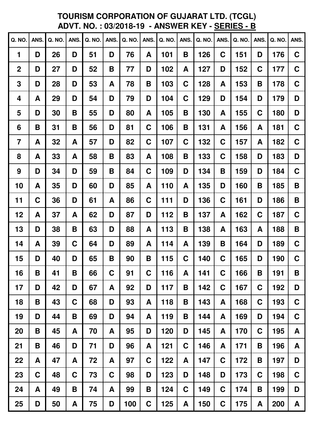# **TOURISM CORPORATION OF GUJARAT LTD. (TCGL)<br>ADVT. NO.: 03/2018-19 - ANSWER KEY - SERIES - B**

| <b>Q. NO.</b>  | ANS.        | Q. NO. | ANS.        | Q. NO. | ANS.        | Q. NO. | ANS. | Q. NO. | ANS.        | Q. NO. | ANS.        | Q. NO. | ANS.        | Q. NO. | ANS.        |
|----------------|-------------|--------|-------------|--------|-------------|--------|------|--------|-------------|--------|-------------|--------|-------------|--------|-------------|
| 1              | D           | 26     | D           | 51     | D           | 76     | A    | 101    | B           | 126    | C           | 151    | D           | 176    | $\mathbf C$ |
| $\mathbf 2$    | D           | 27     | D           | 52     | B           | 77     | D    | 102    | A           | 127    | D           | 152    | C           | 177    | $\mathbf C$ |
| 3              | D           | 28     | D           | 53     | A           | 78     | B    | 103    | C           | 128    | A           | 153    | B           | 178    | $\mathbf C$ |
| 4              | A           | 29     | D           | 54     | D           | 79     | D    | 104    | C           | 129    | D           | 154    | D           | 179    | D           |
| 5              | D           | 30     | B           | 55     | D           | 80     | A    | 105    | B           | 130    | A           | 155    | C           | 180    | D           |
| 6              | B           | 31     | B           | 56     | D           | 81     | C    | 106    | B           | 131    | A           | 156    | A           | 181    | C           |
| $\overline{7}$ | A           | 32     | A           | 57     | D           | 82     | C    | 107    | C           | 132    | C           | 157    | A           | 182    | C           |
| 8              | A           | 33     | A           | 58     | B           | 83     | A    | 108    | B           | 133    | C           | 158    | D           | 183    | D           |
| 9              | D           | 34     | D           | 59     | B           | 84     | C    | 109    | D           | 134    | В           | 159    | D           | 184    | $\mathbf C$ |
| 10             | A           | 35     | D           | 60     | D           | 85     | A    | 110    | A           | 135    | D           | 160    | B           | 185    | B           |
| 11             | C           | 36     | D           | 61     | A           | 86     | C    | 111    | D           | 136    | C           | 161    | D           | 186    | B           |
| 12             | A           | 37     | A           | 62     | D           | 87     | D    | 112    | B           | 137    | A           | 162    | C           | 187    | $\mathbf C$ |
| 13             | D           | 38     | B           | 63     | D           | 88     | A    | 113    | B           | 138    | A           | 163    | A           | 188    | B           |
| 14             | A           | 39     | C           | 64     | D           | 89     | A    | 114    | A           | 139    | Β           | 164    | D           | 189    | $\mathbf C$ |
| 15             | D           | 40     | D           | 65     | B           | 90     | B    | 115    | C           | 140    | C           | 165    | D           | 190    | $\mathbf C$ |
| 16             | B           | 41     | B           | 66     | C           | 91     | C    | 116    | A           | 141    | C           | 166    | Β           | 191    | B           |
| 17             | D           | 42     | D           | 67     | A           | 92     | D    | 117    | B           | 142    | C           | 167    | $\mathbf C$ | 192    | D           |
| 18             | B           | 43     | $\mathbf C$ | 68     | D           | 93     | A    | 118    | B           | 143    | A           | 168    | C           | 193    | $\mathbf C$ |
| 19             | D           | 44     | B           | 69     | D           | 94     | A    | 119    | B           | 144    | A           | 169    | D           | 194    | $\mathbf C$ |
| 20             | B           | 45     | A           | 70     | A           | 95     | D    | 120    | D           | 145    | A           | 170    | C           | 195    | A           |
| 21             | B           | 46     | D           | 71     | D           | 96     | A    | 121    | C           | 146    | A           | 171    | Β           | 196    | A           |
| 22             | A           | 47     | A           | 72     | A           | 97     | C    | 122    | A           | 147    | $\mathbf C$ | 172    | Β           | 197    | D           |
| 23             | $\mathbf C$ | 48     | $\mathbf C$ | 73     | $\mathbf C$ | 98     | D    | 123    | D           | 148    | D           | 173    | C           | 198    | C           |
| 24             | A           | 49     | B           | 74     | A           | 99     | B    | 124    | $\mathbf C$ | 149    | C           | 174    | B           | 199    | D           |
| 25             | D           | 50     | A           | 75     | D           | 100    | C    | 125    | A           | 150    | $\mathbf C$ | 175    | A           | 200    | A           |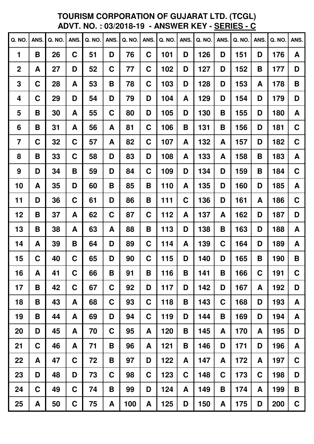# **TOURISM CORPORATION OF GUJARAT LTD. (TCGL)<br>ADVT. NO.: 03/2018-19 - ANSWER KEY - SERIES - C**

| Q. NO.           | <b>ANS</b>  | Q. NO. | <b>ANS</b>  | Q. NO. | ANS.        | Q. NO. | <b>ANS</b> | Q. NO. | ANS. | Q. NO. | ANS.        | Q. NO. | ANS. | Q. NO. | ANS.        |
|------------------|-------------|--------|-------------|--------|-------------|--------|------------|--------|------|--------|-------------|--------|------|--------|-------------|
| 1                | B           | 26     | C           | 51     | D           | 76     | C          | 101    | D    | 126    | D           | 151    | D    | 176    | A           |
| $\boldsymbol{2}$ | A           | 27     | D           | 52     | C           | 77     | C          | 102    | D    | 127    | D           | 152    | B    | 177    | D           |
| 3                | $\mathbf C$ | 28     | A           | 53     | B           | 78     | C          | 103    | D    | 128    | D           | 153    | A    | 178    | B           |
| 4                | C           | 29     | D           | 54     | D           | 79     | D          | 104    | A    | 129    | D           | 154    | D    | 179    | D           |
| 5                | B           | 30     | A           | 55     | $\mathbf C$ | 80     | D          | 105    | D    | 130    | Β           | 155    | D    | 180    | A           |
| 6                | B           | 31     | A           | 56     | A           | 81     | C          | 106    | B    | 131    | Β           | 156    | D    | 181    | $\mathbf C$ |
| $\overline{7}$   | C           | 32     | $\mathbf C$ | 57     | A           | 82     | C          | 107    | A    | 132    | A           | 157    | D    | 182    | $\mathbf C$ |
| 8                | B           | 33     | C           | 58     | D           | 83     | D          | 108    | A    | 133    | A           | 158    | B    | 183    | A           |
| 9                | D           | 34     | B           | 59     | D           | 84     | C          | 109    | D    | 134    | D           | 159    | B    | 184    | $\mathbf C$ |
| 10               | A           | 35     | D           | 60     | B           | 85     | Β          | 110    | A    | 135    | D           | 160    | D    | 185    | A           |
| 11               | D           | 36     | C           | 61     | D           | 86     | B          | 111    | C    | 136    | D           | 161    | A    | 186    | $\mathbf C$ |
| 12               | B           | 37     | A           | 62     | C           | 87     | C          | 112    | A    | 137    | A           | 162    | D    | 187    | D           |
| 13               | B           | 38     | A           | 63     | A           | 88     | B          | 113    | D    | 138    | Β           | 163    | D    | 188    | A           |
| 14               | A           | 39     | B           | 64     | D           | 89     | C          | 114    | A    | 139    | C           | 164    | D    | 189    | A           |
| 15               | C           | 40     | C           | 65     | D           | 90     | C          | 115    | D    | 140    | D           | 165    | B    | 190    | B           |
| 16               | A           | 41     | C           | 66     | B           | 91     | B          | 116    | B    | 141    | Β           | 166    | C    | 191    | C           |
| 17               | B           | 42     | C           | 67     | C           | 92     | D          | 117    | D    | 142    | D           | 167    | A    | 192    | D           |
| 18               | B           | 43     | A           | 68     | C           | 93     | C          | 118    | B    | 143    | C           | 168    | D    | 193    | A           |
| 19               | B           | 44     | A           | 69     | D           | 94     | C          | 119    | D    | 144    | B           | 169    | D    | 194    | A           |
| 20               | D           | 45     | A           | 70     | C           | 95     | A          | 120    | B    | 145    | A           | 170    | A    | 195    | D           |
| 21               | C           | 46     | A           | 71     | Β           | 96     | A          | 121    | B    | 146    | D           | 171    | D    | 196    | A           |
| 22               | A           | 47     | $\mathbf C$ | 72     | B           | 97     | D          | 122    | A    | 147    | A           | 172    | A    | 197    | $\mathbf C$ |
| 23               | D           | 48     | D           | 73     | $\mathbf C$ | 98     | C          | 123    | C    | 148    | $\mathbf C$ | 173    | C    | 198    | D           |
| 24               | $\mathbf C$ | 49     | C           | 74     | B           | 99     | D          | 124    | A    | 149    | Β           | 174    | A    | 199    | B           |
| 25               | A           | 50     | $\mathbf C$ | 75     | A           | 100    | A          | 125    | D    | 150    | A           | 175    | D    | 200    | $\mathbf C$ |